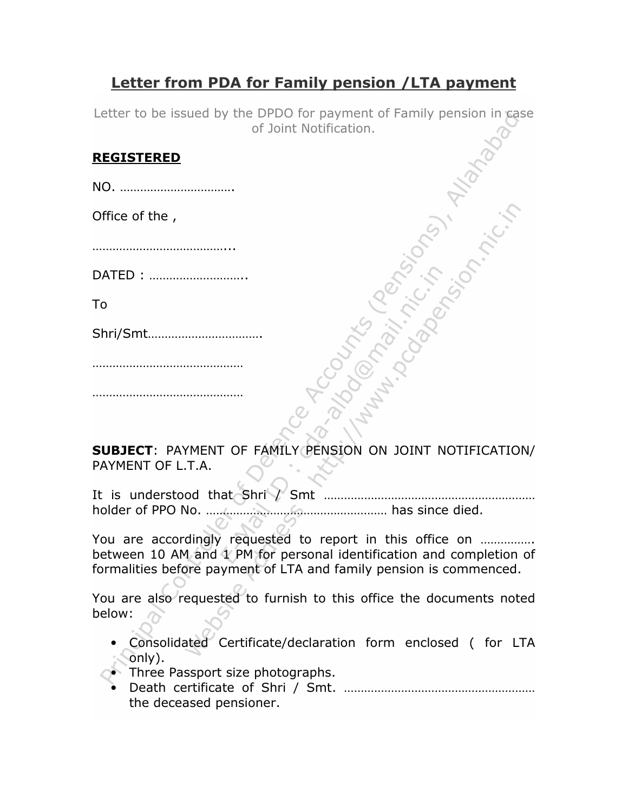## Letter from PDA for Family pension /LTA payment

Letter to be issued by the DPDO for payment of Family pension in case of Joint Notification.

## REGISTERED

NO. …………………………….

Office of the ,

 $\mathcal{L}_{\text{max}}$ 

DATED : ………………………..

To

Shri/Smt…………………………….

……………………………………………

………………………………………

SUBJECT: PAYMENT OF FAMILY PENSION ON JOINT NOTIFICATION/ PAYMENT OF L.T.A.

It is understood that Shri / Smt ……………………………………………………… holder of PPO No. ……………………………………………… has since died.

You are accordingly requested to report in this office on ................ between 10 AM and 1 PM for personal identification and completion of formalities before payment of LTA and family pension is commenced.

You are also requested to furnish to this office the documents noted below:

- Consolidated Certificate/declaration form enclosed ( for LTA only).
- **•** Three Passport size photographs.
	- Death certificate of Shri / Smt. ………………………………………………… the deceased pensioner.